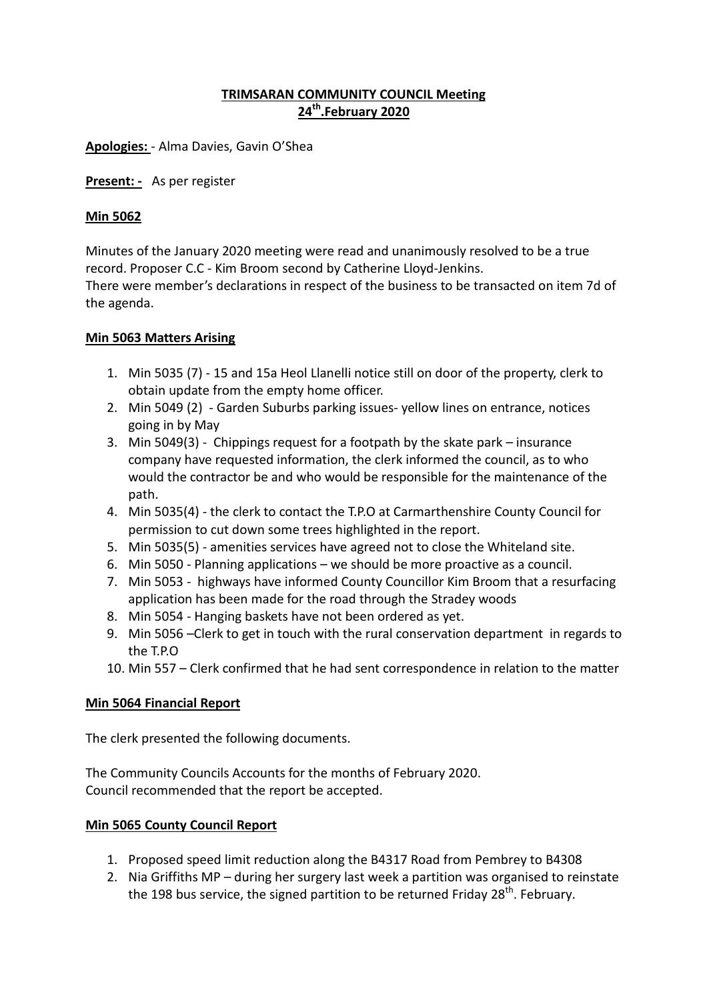# **TRIMSARAN COMMUNITY COUNCIL Meeting 24th.February 2020**

**Apologies:** - Alma Davies, Gavin O'Shea

**Present: -** As per register

#### **Min 5062**

Minutes of the January 2020 meeting were read and unanimously resolved to be a true record. Proposer C.C - Kim Broom second by Catherine Lloyd-Jenkins. There were member's declarations in respect of the business to be transacted on item 7d of the agenda.

#### **Min 5063 Matters Arising**

- 1. Min 5035 (7) 15 and 15a Heol Llanelli notice still on door of the property, clerk to obtain update from the empty home officer.
- 2. Min 5049 (2) Garden Suburbs parking issues- yellow lines on entrance, notices going in by May
- 3. Min 5049(3) Chippings request for a footpath by the skate park insurance company have requested information, the clerk informed the council, as to who would the contractor be and who would be responsible for the maintenance of the path.
- 4. Min 5035(4) the clerk to contact the T.P.O at Carmarthenshire County Council for permission to cut down some trees highlighted in the report.
- 5. Min 5035(5) amenities services have agreed not to close the Whiteland site.
- 6. Min 5050 Planning applications we should be more proactive as a council.
- 7. Min 5053 highways have informed County Councillor Kim Broom that a resurfacing application has been made for the road through the Stradey woods
- 8. Min 5054 Hanging baskets have not been ordered as yet.
- 9. Min 5056 –Clerk to get in touch with the rural conservation department in regards to the T.P.O
- 10. Min 557 Clerk confirmed that he had sent correspondence in relation to the matter

#### **Min 5064 Financial Report**

The clerk presented the following documents.

The Community Councils Accounts for the months of February 2020. Council recommended that the report be accepted.

#### **Min 5065 County Council Report**

- 1. Proposed speed limit reduction along the B4317 Road from Pembrey to B4308
- 2. Nia Griffiths MP during her surgery last week a partition was organised to reinstate the 198 bus service, the signed partition to be returned Friday 28<sup>th</sup>. February.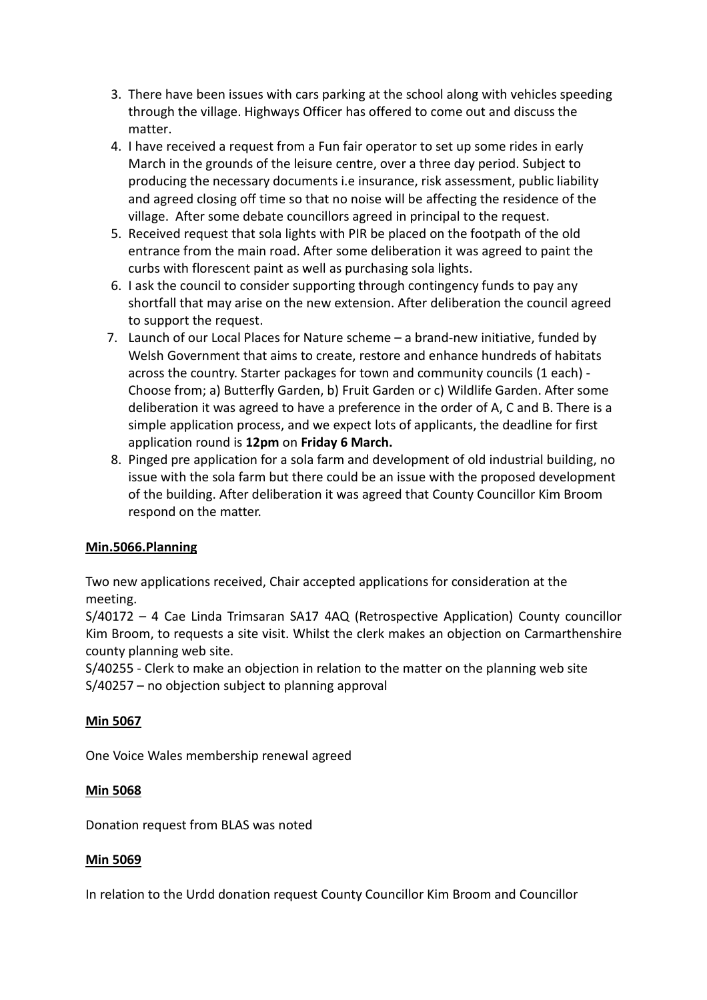- 3. There have been issues with cars parking at the school along with vehicles speeding through the village. Highways Officer has offered to come out and discuss the matter.
- 4. I have received a request from a Fun fair operator to set up some rides in early March in the grounds of the leisure centre, over a three day period. Subject to producing the necessary documents i.e insurance, risk assessment, public liability and agreed closing off time so that no noise will be affecting the residence of the village. After some debate councillors agreed in principal to the request.
- 5. Received request that sola lights with PIR be placed on the footpath of the old entrance from the main road. After some deliberation it was agreed to paint the curbs with florescent paint as well as purchasing sola lights.
- 6. I ask the council to consider supporting through contingency funds to pay any shortfall that may arise on the new extension. After deliberation the council agreed to support the request.
- 7. Launch of our Local Places for Nature scheme a brand-new initiative, funded by Welsh Government that aims to create, restore and enhance hundreds of habitats across the country. Starter packages for town and community councils (1 each) - Choose from; a) Butterfly Garden, b) Fruit Garden or c) Wildlife Garden. After some deliberation it was agreed to have a preference in the order of A, C and B. There is a simple application process, and we expect lots of applicants, the deadline for first application round is **12pm** on **Friday 6 March.**
- 8. Pinged pre application for a sola farm and development of old industrial building, no issue with the sola farm but there could be an issue with the proposed development of the building. After deliberation it was agreed that County Councillor Kim Broom respond on the matter.

# **Min.5066.Planning**

Two new applications received, Chair accepted applications for consideration at the meeting.

S/40172 – 4 Cae Linda Trimsaran SA17 4AQ (Retrospective Application) County councillor Kim Broom, to requests a site visit. Whilst the clerk makes an objection on Carmarthenshire county planning web site.

S/40255 - Clerk to make an objection in relation to the matter on the planning web site S/40257 – no objection subject to planning approval

# **Min 5067**

One Voice Wales membership renewal agreed

# **Min 5068**

Donation request from BLAS was noted

# **Min 5069**

In relation to the Urdd donation request County Councillor Kim Broom and Councillor